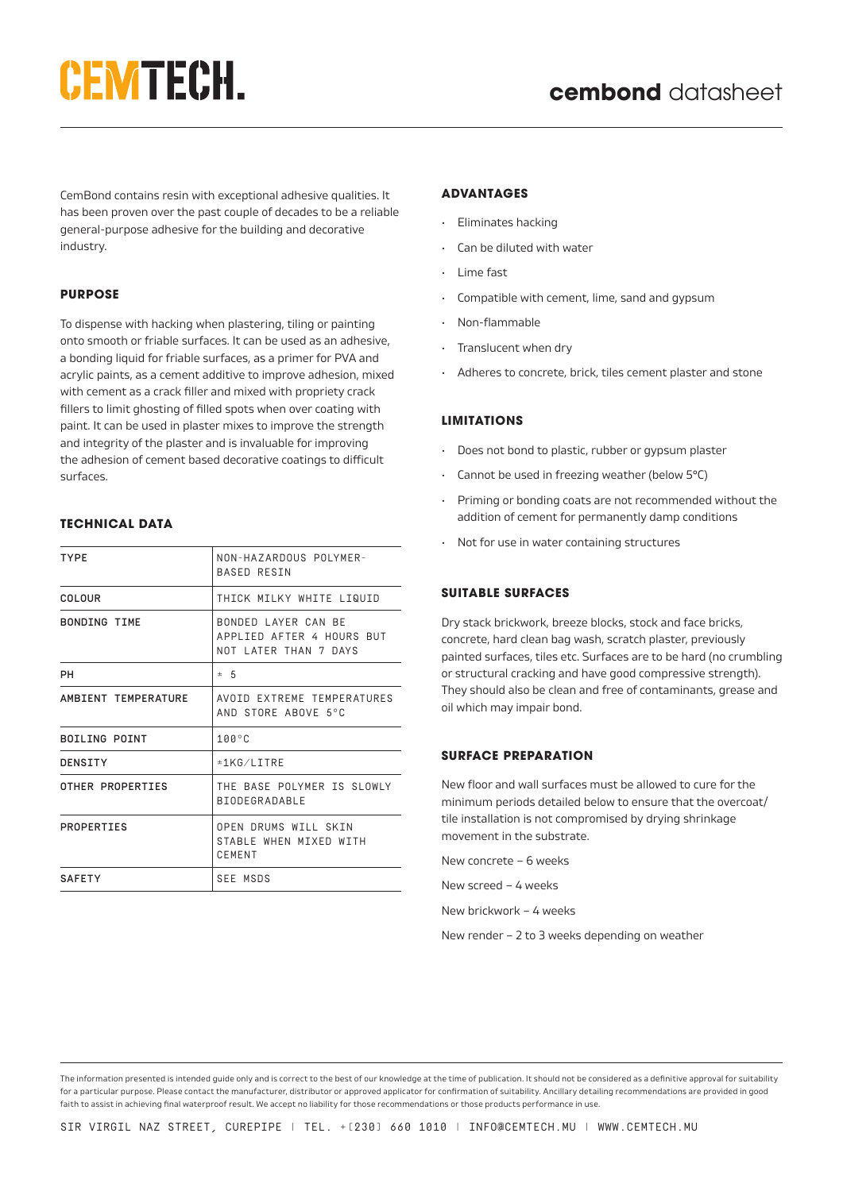# **CEMTECH.**

CemBond contains resin with exceptional adhesive qualities. It has been proven over the past couple of decades to be a reliable general-purpose adhesive for the building and decorative industry.

## **PURPOSE**

To dispense with hacking when plastering, tiling or painting onto smooth or friable surfaces. It can be used as an adhesive, a bonding liquid for friable surfaces, as a primer for PVA and acrylic paints, as a cement additive to improve adhesion, mixed with cement as a crack filler and mixed with propriety crack fillers to limit ghosting of filled spots when over coating with paint. It can be used in plaster mixes to improve the strength and integrity of the plaster and is invaluable for improving the adhesion of cement based decorative coatings to difficult surfaces.

## **TECHNICAL DATA**

| <b>TYPE</b>         | NON-HAZARDOUS POLYMER-<br><b>BASED RESTN</b>                              |
|---------------------|---------------------------------------------------------------------------|
| COLOUR              | THICK MILKY WHITE LIQUID                                                  |
| <b>BONDING TIME</b> | BONDED LAYER CAN BE<br>APPLIED AFTER 4 HOURS BUT<br>NOT LATER THAN 7 DAYS |
| PН                  | $\pm$ 5                                                                   |
| AMBIENT TEMPERATURE | AVOID FXTREME TEMPERATURES<br>AND STORE ABOVE 5°C                         |
| BOILING POINT       | $100^{\circ}$ C                                                           |
| DENSITY             | $±1$ KG/I TTRF                                                            |
| OTHER PROPERTIES    | THE BASE POIYMER TS SLOWLY<br><b>BIODEGRADABLE</b>                        |
| PROPERTIES          | OPEN DRUMS WILL SKIN<br>STARLE WHEN MIXED WITH<br>CEMENT                  |
| <b>SAFETY</b>       | SEE MSDS                                                                  |

#### **ADVANTAGES**

- Eliminates hacking
- Can be diluted with water
- Lime fast
- Compatible with cement, lime, sand and gypsum
- Non-flammable
- Translucent when dry
- Adheres to concrete, brick, tiles cement plaster and stone

#### **LIMITATIONS**

- Does not bond to plastic, rubber or gypsum plaster
- Cannot be used in freezing weather (below 5°C)
- Priming or bonding coats are not recommended without the addition of cement for permanently damp conditions
- Not for use in water containing structures

### **SUITABLE SURFACES**

Dry stack brickwork, breeze blocks, stock and face bricks, concrete, hard clean bag wash, scratch plaster, previously painted surfaces, tiles etc. Surfaces are to be hard (no crumbling or structural cracking and have good compressive strength). They should also be clean and free of contaminants, grease and oil which may impair bond.

### **SURFACE PREPARATION**

New floor and wall surfaces must be allowed to cure for the minimum periods detailed below to ensure that the overcoat/ tile installation is not compromised by drying shrinkage movement in the substrate.

New concrete – 6 weeks

New screed – 4 weeks

New brickwork – 4 weeks

New render – 2 to 3 weeks depending on weather

The information presented is intended guide only and is correct to the best of our knowledge at the time of publication. It should not be considered as a definitive approval for suitability for a particular purpose. Please contact the manufacturer, distributor or approved applicator for confirmation of suitability. Ancillary detailing recommendations are provided in good faith to assist in achieving final waterproof result. We accept no liability for those recommendations or those products performance in use.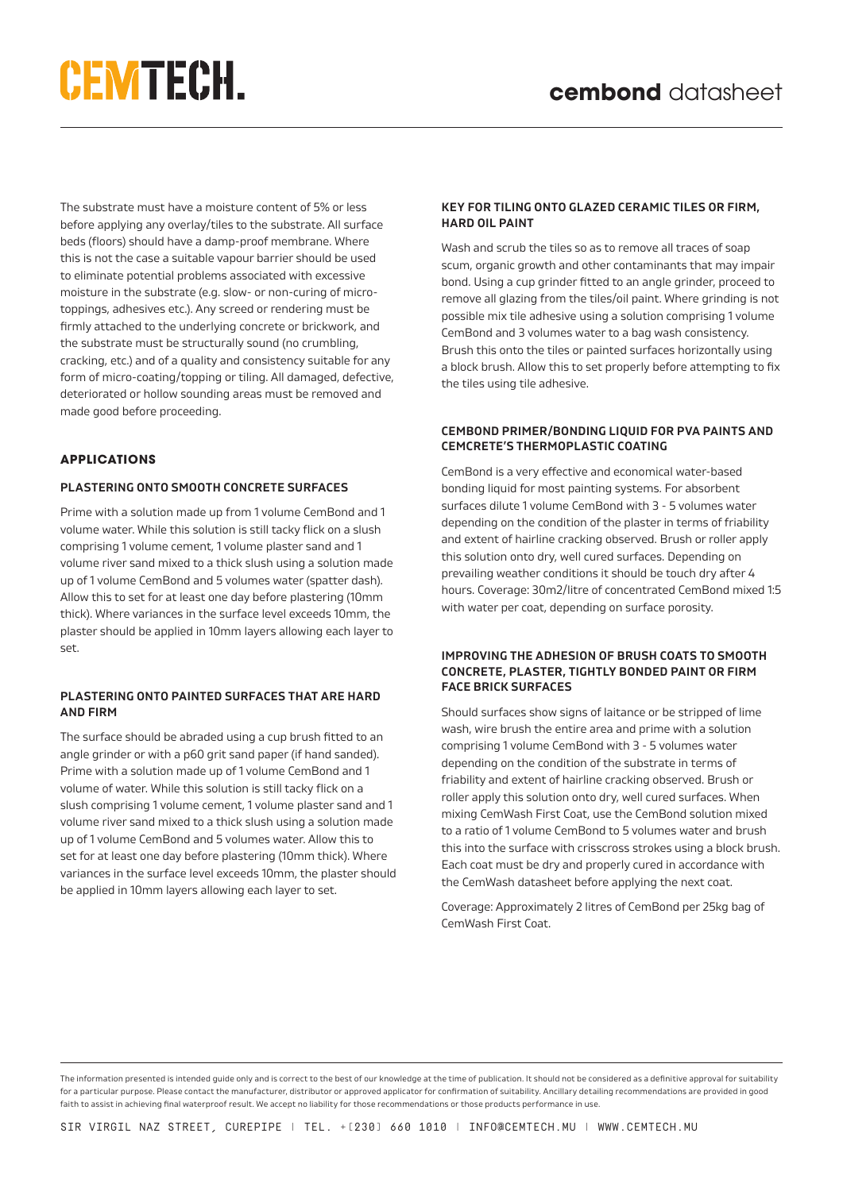# **CEMTECH.**

The substrate must have a moisture content of 5% or less before applying any overlay/tiles to the substrate. All surface beds (floors) should have a damp-proof membrane. Where this is not the case a suitable vapour barrier should be used to eliminate potential problems associated with excessive moisture in the substrate (e.g. slow- or non-curing of microtoppings, adhesives etc.). Any screed or rendering must be firmly attached to the underlying concrete or brickwork, and the substrate must be structurally sound (no crumbling, cracking, etc.) and of a quality and consistency suitable for any form of micro-coating/topping or tiling. All damaged, defective, deteriorated or hollow sounding areas must be removed and made good before proceeding.

## **APPLICATIONS**

#### **PLASTERING ONTO SMOOTH CONCRETE SURFACES**

Prime with a solution made up from 1 volume CemBond and 1 volume water. While this solution is still tacky flick on a slush comprising 1 volume cement, 1 volume plaster sand and 1 volume river sand mixed to a thick slush using a solution made up of 1 volume CemBond and 5 volumes water (spatter dash). Allow this to set for at least one day before plastering (10mm thick). Where variances in the surface level exceeds 10mm, the plaster should be applied in 10mm layers allowing each layer to set.

### **PLASTERING ONTO PAINTED SURFACES THAT ARE HARD AND FIRM**

The surface should be abraded using a cup brush fitted to an angle grinder or with a p60 grit sand paper (if hand sanded). Prime with a solution made up of 1 volume CemBond and 1 volume of water. While this solution is still tacky flick on a slush comprising 1 volume cement, 1 volume plaster sand and 1 volume river sand mixed to a thick slush using a solution made up of 1 volume CemBond and 5 volumes water. Allow this to set for at least one day before plastering (10mm thick). Where variances in the surface level exceeds 10mm, the plaster should be applied in 10mm layers allowing each layer to set.

## **KEY FOR TILING ONTO GLAZED CERAMIC TILES OR FIRM, HARD OIL PAINT**

Wash and scrub the tiles so as to remove all traces of soap scum, organic growth and other contaminants that may impair bond. Using a cup grinder fitted to an angle grinder, proceed to remove all glazing from the tiles/oil paint. Where grinding is not possible mix tile adhesive using a solution comprising 1 volume CemBond and 3 volumes water to a bag wash consistency. Brush this onto the tiles or painted surfaces horizontally using a block brush. Allow this to set properly before attempting to fix the tiles using tile adhesive.

## **CEMBOND PRIMER/BONDING LIQUID FOR PVA PAINTS AND CEMCRETE'S THERMOPLASTIC COATING**

CemBond is a very effective and economical water-based bonding liquid for most painting systems. For absorbent surfaces dilute 1 volume CemBond with 3 - 5 volumes water depending on the condition of the plaster in terms of friability and extent of hairline cracking observed. Brush or roller apply this solution onto dry, well cured surfaces. Depending on prevailing weather conditions it should be touch dry after 4 hours. Coverage: 30m2/litre of concentrated CemBond mixed 1:5 with water per coat, depending on surface porosity.

#### **IMPROVING THE ADHESION OF BRUSH COATS TO SMOOTH CONCRETE, PLASTER, TIGHTLY BONDED PAINT OR FIRM FACE BRICK SURFACES**

Should surfaces show signs of laitance or be stripped of lime wash, wire brush the entire area and prime with a solution comprising 1 volume CemBond with 3 - 5 volumes water depending on the condition of the substrate in terms of friability and extent of hairline cracking observed. Brush or roller apply this solution onto dry, well cured surfaces. When mixing CemWash First Coat, use the CemBond solution mixed to a ratio of 1 volume CemBond to 5 volumes water and brush this into the surface with crisscross strokes using a block brush. Each coat must be dry and properly cured in accordance with the CemWash datasheet before applying the next coat.

Coverage: Approximately 2 litres of CemBond per 25kg bag of CemWash First Coat.

The information presented is intended guide only and is correct to the best of our knowledge at the time of publication. It should not be considered as a definitive approval for suitability for a particular purpose. Please contact the manufacturer, distributor or approved applicator for confirmation of suitability. Ancillary detailing recommendations are provided in good faith to assist in achieving final waterproof result. We accept no liability for those recommendations or those products performance in use.